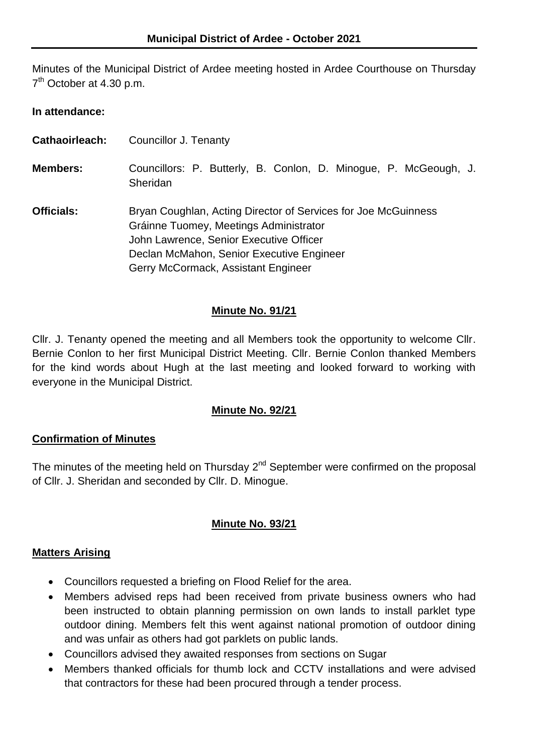Minutes of the Municipal District of Ardee meeting hosted in Ardee Courthouse on Thursday 7<sup>th</sup> October at 4.30 p.m.

#### **In attendance:**

| Cathaoirleach:    | Councillor J. Tenanty                                                                                                                                                                                                                   |  |
|-------------------|-----------------------------------------------------------------------------------------------------------------------------------------------------------------------------------------------------------------------------------------|--|
| <b>Members:</b>   | Councillors: P. Butterly, B. Conlon, D. Minogue, P. McGeough, J.<br>Sheridan                                                                                                                                                            |  |
| <b>Officials:</b> | Bryan Coughlan, Acting Director of Services for Joe McGuinness<br>Gráinne Tuomey, Meetings Administrator<br>John Lawrence, Senior Executive Officer<br>Declan McMahon, Senior Executive Engineer<br>Gerry McCormack, Assistant Engineer |  |

#### **Minute No. 91/21**

Cllr. J. Tenanty opened the meeting and all Members took the opportunity to welcome Cllr. Bernie Conlon to her first Municipal District Meeting. Cllr. Bernie Conlon thanked Members for the kind words about Hugh at the last meeting and looked forward to working with everyone in the Municipal District.

### **Minute No. 92/21**

### **Confirmation of Minutes**

The minutes of the meeting held on Thursday  $2^{nd}$  September were confirmed on the proposal of Cllr. J. Sheridan and seconded by Cllr. D. Minogue.

### **Minute No. 93/21**

### **Matters Arising**

- Councillors requested a briefing on Flood Relief for the area.
- Members advised reps had been received from private business owners who had been instructed to obtain planning permission on own lands to install parklet type outdoor dining. Members felt this went against national promotion of outdoor dining and was unfair as others had got parklets on public lands.
- Councillors advised they awaited responses from sections on Sugar
- Members thanked officials for thumb lock and CCTV installations and were advised that contractors for these had been procured through a tender process.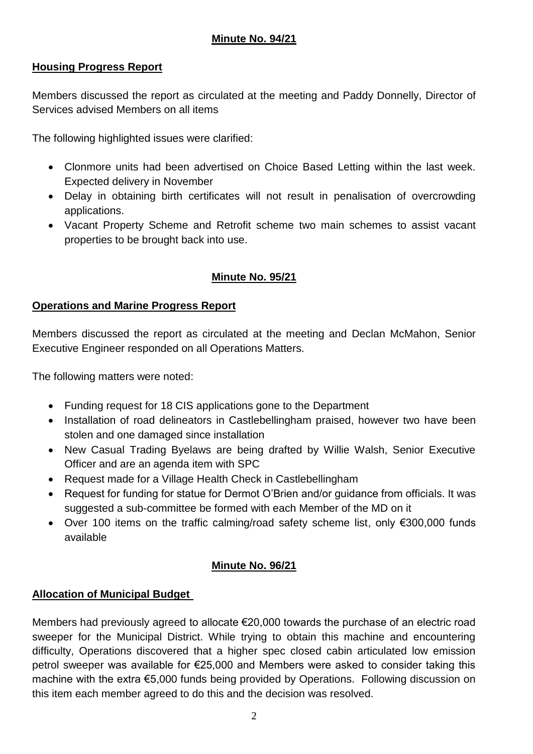## **Minute No. 94/21**

## **Housing Progress Report**

Members discussed the report as circulated at the meeting and Paddy Donnelly, Director of Services advised Members on all items

The following highlighted issues were clarified:

- Clonmore units had been advertised on Choice Based Letting within the last week. Expected delivery in November
- Delay in obtaining birth certificates will not result in penalisation of overcrowding applications.
- Vacant Property Scheme and Retrofit scheme two main schemes to assist vacant properties to be brought back into use.

# **Minute No. 95/21**

### **Operations and Marine Progress Report**

Members discussed the report as circulated at the meeting and Declan McMahon, Senior Executive Engineer responded on all Operations Matters.

The following matters were noted:

- Funding request for 18 CIS applications gone to the Department
- Installation of road delineators in Castlebellingham praised, however two have been stolen and one damaged since installation
- New Casual Trading Byelaws are being drafted by Willie Walsh, Senior Executive Officer and are an agenda item with SPC
- Request made for a Village Health Check in Castlebellingham
- Request for funding for statue for Dermot O'Brien and/or guidance from officials. It was suggested a sub-committee be formed with each Member of the MD on it
- Over 100 items on the traffic calming/road safety scheme list, only €300,000 funds available

### **Minute No. 96/21**

### **Allocation of Municipal Budget**

Members had previously agreed to allocate €20,000 towards the purchase of an electric road sweeper for the Municipal District. While trying to obtain this machine and encountering difficulty, Operations discovered that a higher spec closed cabin articulated low emission petrol sweeper was available for €25,000 and Members were asked to consider taking this machine with the extra €5,000 funds being provided by Operations. Following discussion on this item each member agreed to do this and the decision was resolved.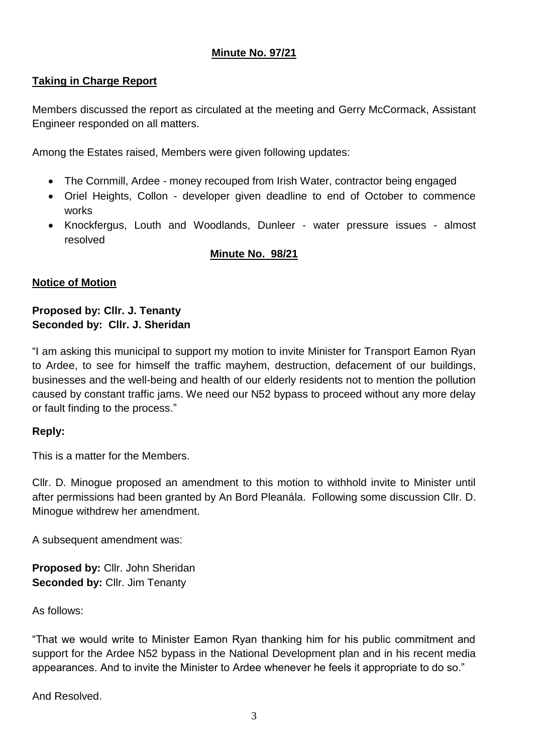## **Minute No. 97/21**

## **Taking in Charge Report**

Members discussed the report as circulated at the meeting and Gerry McCormack, Assistant Engineer responded on all matters.

Among the Estates raised, Members were given following updates:

- The Cornmill, Ardee money recouped from Irish Water, contractor being engaged
- Oriel Heights, Collon developer given deadline to end of October to commence works
- Knockfergus, Louth and Woodlands, Dunleer water pressure issues almost resolved

### **Minute No. 98/21**

### **Notice of Motion**

### **Proposed by: Cllr. J. Tenanty Seconded by: Cllr. J. Sheridan**

"I am asking this municipal to support my motion to invite Minister for Transport Eamon Ryan to Ardee, to see for himself the traffic mayhem, destruction, defacement of our buildings, businesses and the well-being and health of our elderly residents not to mention the pollution caused by constant traffic jams. We need our N52 bypass to proceed without any more delay or fault finding to the process."

### **Reply:**

This is a matter for the Members.

Cllr. D. Minogue proposed an amendment to this motion to withhold invite to Minister until after permissions had been granted by An Bord Pleanála. Following some discussion Cllr. D. Minogue withdrew her amendment.

A subsequent amendment was:

**Proposed by:** Cllr. John Sheridan **Seconded by:** Cllr. Jim Tenanty

As follows:

"That we would write to Minister Eamon Ryan thanking him for his public commitment and support for the Ardee N52 bypass in the National Development plan and in his recent media appearances. And to invite the Minister to Ardee whenever he feels it appropriate to do so."

And Resolved.